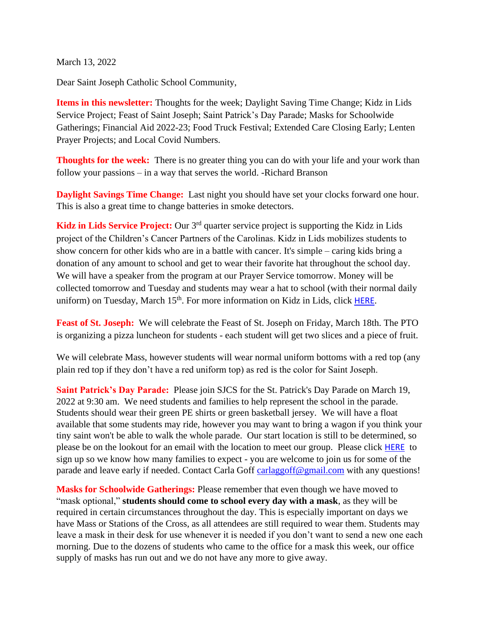March 13, 2022

Dear Saint Joseph Catholic School Community,

**Items in this newsletter:** Thoughts for the week; Daylight Saving Time Change; Kidz in Lids Service Project; Feast of Saint Joseph; Saint Patrick's Day Parade; Masks for Schoolwide Gatherings; Financial Aid 2022-23; Food Truck Festival; Extended Care Closing Early; Lenten Prayer Projects; and Local Covid Numbers.

**Thoughts for the week:** There is no greater thing you can do with your life and your work than follow your passions – in a way that serves the world. -Richard Branson

**Daylight Savings Time Change:** Last night you should have set your clocks forward one hour. This is also a great time to change batteries in smoke detectors.

**Kidz in Lids Service Project:** Our 3rd quarter service project is supporting the Kidz in Lids project of the Children's Cancer Partners of the Carolinas. Kidz in Lids mobilizes students to show concern for other kids who are in a battle with cancer. It's simple – caring kids bring a donation of any amount to school and get to wear their favorite hat throughout the school day. We will have a speaker from the program at our Prayer Service tomorrow. Money will be collected tomorrow and Tuesday and students may wear a hat to school (with their normal daily uniform) on Tuesday, March 15<sup>th</sup>. For more information on Kidz in Lids, click [HERE](https://childrenscancerpartners.org/kidz-in-lids/).

**Feast of St. Joseph:** We will celebrate the Feast of St. Joseph on Friday, March 18th. The PTO is organizing a pizza luncheon for students - each student will get two slices and a piece of fruit.

We will celebrate Mass, however students will wear normal uniform bottoms with a red top (any plain red top if they don't have a red uniform top) as red is the color for Saint Joseph.

**Saint Patrick's Day Parade:** Please join SJCS for the St. Patrick's Day Parade on March 19, 2022 at 9:30 am. We need students and families to help represent the school in the parade. Students should wear their green PE shirts or green basketball jersey. We will have a float available that some students may ride, however you may want to bring a wagon if you think your tiny saint won't be able to walk the whole parade. Our start location is still to be determined, so please be on the lookout for an email with the location to meet our group. Please click **[HERE](https://www.signupgenius.com/go/4090549AFAC2CABFE3-sjcs)** to sign up so we know how many families to expect - you are welcome to join us for some of the parade and leave early if needed. Contact Carla Goff [carlaggoff@gmail.com](mailto:carlaggoff@gmail.com) with any questions!

**Masks for Schoolwide Gatherings:** Please remember that even though we have moved to "mask optional," **students should come to school every day with a mask**, as they will be required in certain circumstances throughout the day. This is especially important on days we have Mass or Stations of the Cross, as all attendees are still required to wear them. Students may leave a mask in their desk for use whenever it is needed if you don't want to send a new one each morning. Due to the dozens of students who came to the office for a mask this week, our office supply of masks has run out and we do not have any more to give away.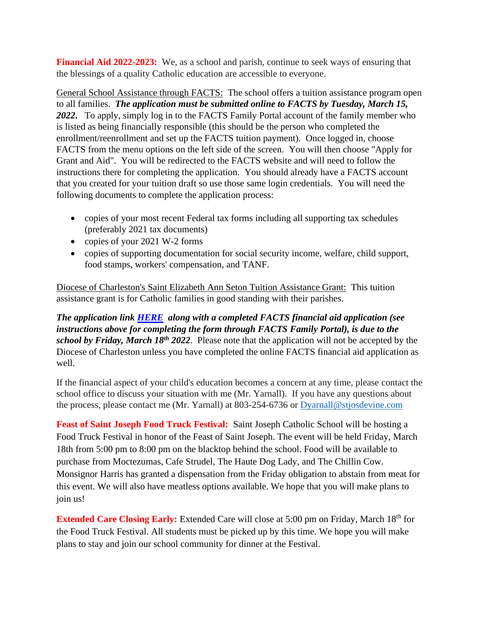**Financial Aid 2022-2023:** We, as a school and parish, continue to seek ways of ensuring that the blessings of a quality Catholic education are accessible to everyone.

General School Assistance through FACTS: The school offers a tuition assistance program open to all families. *The application must be submitted online to FACTS by Tuesday, March 15, 2022***.** To apply, simply log in to the FACTS Family Portal account of the family member who is listed as being financially responsible (this should be the person who completed the enrollment/reenrollment and set up the FACTS tuition payment). Once logged in, choose FACTS from the menu options on the left side of the screen. You will then choose "Apply for Grant and Aid". You will be redirected to the FACTS website and will need to follow the instructions there for completing the application. You should already have a FACTS account that you created for your tuition draft so use those same login credentials. You will need the following documents to complete the application process:

- copies of your most recent Federal tax forms including all supporting tax schedules (preferably 2021 tax documents)
- copies of your 2021 W-2 forms
- copies of supporting documentation for social security income, welfare, child support, food stamps, workers' compensation, and TANF.

Diocese of Charleston's Saint Elizabeth Ann Seton Tuition Assistance Grant: This tuition assistance grant is for Catholic families in good standing with their parishes.

*The application link [HERE](https://www.stjosdevine.com/_files/ugd/8031f7_582fca7f5a1b46a7854d335b0c14e5ad.pdf) along with a completed FACTS financial aid application (see instructions above for completing the form through FACTS Family Portal), is due to the school by Friday, March 18th 2022*. Please note that the application will not be accepted by the Diocese of Charleston unless you have completed the online FACTS financial aid application as well.

If the financial aspect of your child's education becomes a concern at any time, please contact the school office to discuss your situation with me (Mr. Yarnall). If you have any questions about the process, please contact me (Mr. Yarnall) at 803-254-6736 or Dyarnall@stjosdevine.com

**Feast of Saint Joseph Food Truck Festival:** Saint Joseph Catholic School will be hosting a Food Truck Festival in honor of the Feast of Saint Joseph. The event will be held Friday, March 18th from 5:00 pm to 8:00 pm on the blacktop behind the school. Food will be available to purchase from Moctezumas, Cafe Strudel, The Haute Dog Lady, and The Chillin Cow. Monsignor Harris has granted a dispensation from the Friday obligation to abstain from meat for this event. We will also have meatless options available. We hope that you will make plans to join us!

**Extended Care Closing Early:** Extended Care will close at 5:00 pm on Friday, March 18<sup>th</sup> for the Food Truck Festival. All students must be picked up by this time. We hope you will make plans to stay and join our school community for dinner at the Festival.